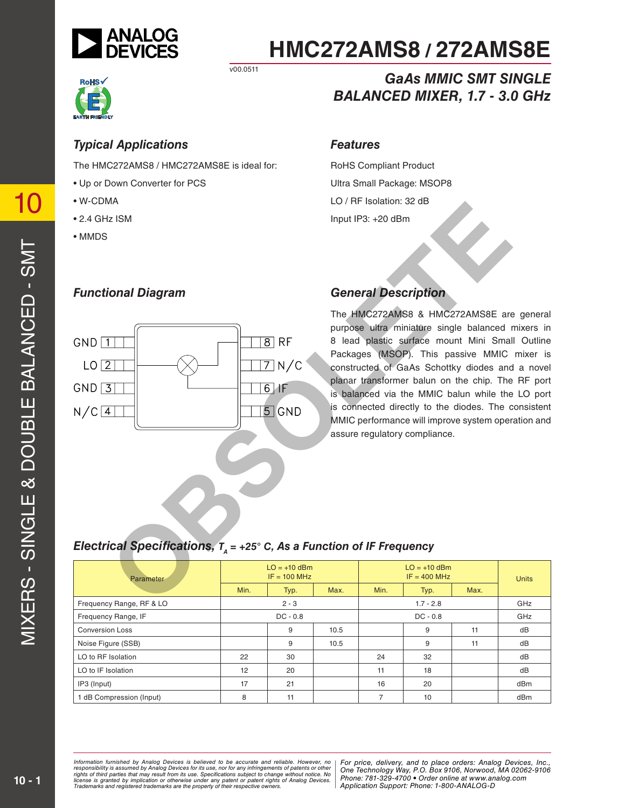

# **HMC272AMS8 / 272AMS8E**

*GaAs MMIC SMT SINGLE*

*BALANCED MIXER, 1.7 - 3.0 GHz*



v00.0511

### *Typical Applications*

*Functional Diagram*

The HMC272AMS8 / HMC272AMS8E is ideal for:

- Up or Down Converter for PCS
- W-CDMA
- 2.4 GHz ISM
- MMDS

#### *Features*

RoHS Compliant Product Ultra Small Package: MSOP8 LO / RF Isolation: 32 dB Input IP3: +20 dBm

## *General Description*

The HMC272AMS8 & HMC272AMS8E are general purpose ultra miniature single balanced mixers in 8 lead plastic surface mount Mini Small Outline Packages (MSOP). This passive MMIC mixer is constructed of GaAs Schottky diodes and a novel planar transformer balun on the chip. The RF port is balanced via the MMIC balun while the LO port is connected directly to the diodes. The consistent MMIC performance will improve system operation and assure regulatory compliance. **Cal Specifications, T<sub>A</sub> = +26° C, As a Function of IF Frequency<br>
Cal Specifications, T<sub>A</sub> = +26° C, As a Function of IF Frequency<br>
Cal Specifications, T<sub>A</sub> = +26° C, As a Function of IF Frequency<br>
Cal Specifications, T<sub>A**</sub>

## *Electrical Specifications,*  $T_a$  = +25° C, As a Function of IF Frequency

| Parameter                | $LO = +10$ dBm<br>$IF = 100 MHz$ |            |      | $LO = +10$ dBm<br>$IF = 400 MHz$ |             |      | <b>Units</b> |
|--------------------------|----------------------------------|------------|------|----------------------------------|-------------|------|--------------|
|                          | Min.                             | Typ.       | Max. | Min.                             | Typ.        | Max. |              |
| Frequency Range, RF & LO |                                  | $2 - 3$    |      |                                  | $1.7 - 2.8$ |      | GHz          |
| Frequency Range, IF      |                                  | $DC - 0.8$ |      |                                  | $DC - 0.8$  |      | GHz          |
| <b>Conversion Loss</b>   |                                  | 9          | 10.5 |                                  | 9           | 11   | dB           |
| Noise Figure (SSB)       |                                  | 9          | 10.5 |                                  | 9           | 11   | dB           |
| LO to RF Isolation       | 22                               | 30         |      | 24                               | 32          |      | dB           |
| LO to IF Isolation       | 12                               | 20         |      | 11                               | 18          |      | dB           |
| IP3 (Input)              | 17                               | 21         |      | 16                               | 20          |      | dBm          |
| 1 dB Compression (Input) | 8                                | 11         |      | 7                                | 10          |      | dBm          |

mation furnished by Analog Devices is believed to be accurate and reliable. However, no | For price, delivery, and to place orders: Analog Devices, Inc.,<br>onsibility is assumed by Analog Devices for its use, nor for any inf *pressult from its use. Specifications subject to change without notice. No*<br>ation or otherwise under any patent or patent rights of Analog Devices Phone: 781-329-4700 • Order online at ww *e* the property of their respective owners. **Application Support: Phone: 1-8** *Information furnished by Analog Devices is believed to be accurate and reliable. However, no*  responsibility is assumed by Analog Devices for its use, nor for any infringements of patents or other<br>rights of third parties that may result from its use. Specifications subject to change without notice. No<br>license is gr

10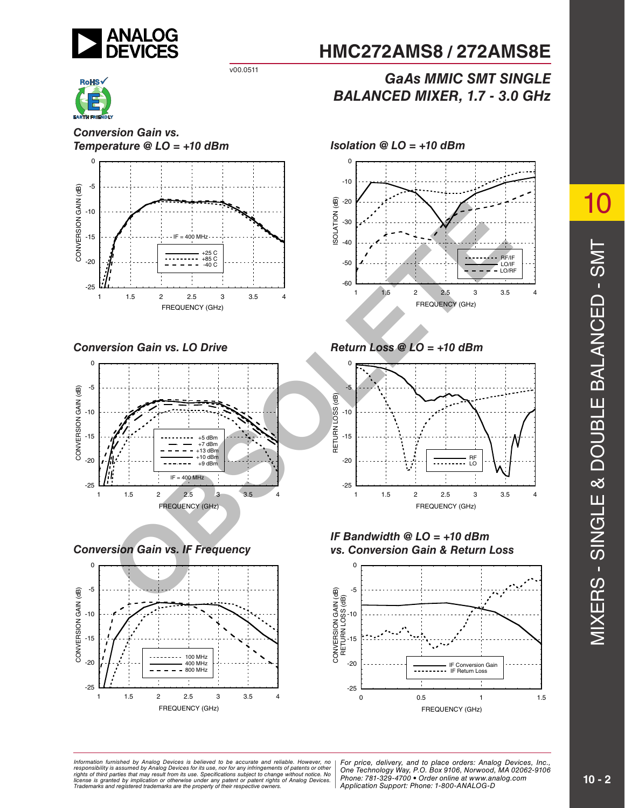



*Conversion Gain vs. Temperature @ LO = +10 dBm Isolation @ LO = +10 dBm* 



*Conversion Gain vs. LO Drive Return Loss @ LO = +10 dBm*



*Conversion Gain vs. IF Frequency*



# **HMC272AMS8 / 272AMS8E**

# *GaAs MMIC SMT SINGLE BALANCED MIXER, 1.7 - 3.0 GHz*





*IF Bandwidth @ LO = +10 dBm vs. Conversion Gain & Return Loss*



mation furnished by Analog Devices is believed to be accurate and reliable. However, no | For price, delivery, and to place orders: Analog Devices, Inc.,<br>onsibility is assumed by Analog Devices for its use, nor for any inf *pressult from its use. Specifications subject to change without notice. No*<br>ation or otherwise under any patent or patent rights of Analog Devices Phone: 781-329-4700 • Order online at ww *e* the property of their respective owners. **Application Support: Phone: 1-8** *Information furnished by Analog Devices is believed to be accurate and reliable. However, no*  responsibility is assumed by Analog Devices for its use, nor for any infringements of patents or other<br>rights of third parties that may result from its use. Specifications subject to change without notice. No<br>license is gr

*Phone: 781-329-4700 • Order online at www.analog.com Application Support: Phone: 1-800-ANALOG-D*

10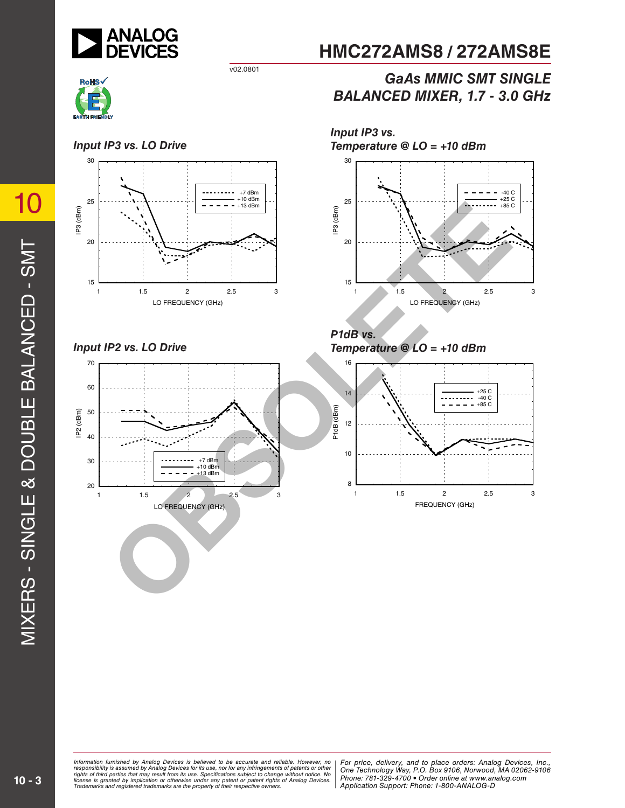

v02.0801



#### *Input IP3 vs. LO Drive*



*Input IP2 vs. LO Drive*



*Input IP3 vs. Temperature @ LO = +10 dBm*



**HMC272AMS8 / 272AMS8E**

*BALANCED MIXER, 1.7 - 3.0 GHz*

*GaAs MMIC SMT SINGLE*

*P1dB vs. Temperature @ LO = +10 dBm*

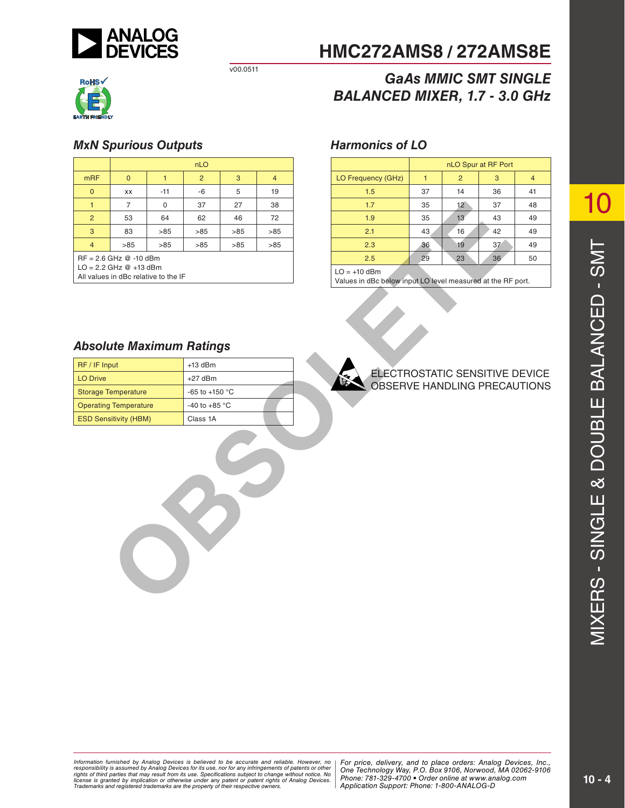



#### *MxN Spurious Outputs Harmonics of LO*

|                                              |                              |                                      | nLO                                                 |     |                |  |                                                                         |              |                 | nLO Spur at RF Port |
|----------------------------------------------|------------------------------|--------------------------------------|-----------------------------------------------------|-----|----------------|--|-------------------------------------------------------------------------|--------------|-----------------|---------------------|
| m <sub>RF</sub>                              | $\mathbf{0}$                 | 1                                    | $\overline{2}$                                      | 3   | $\overline{4}$ |  | LO Frequency (GHz)                                                      | $\mathbf{1}$ | $\overline{2}$  | 3                   |
| $\mathbf 0$                                  | XX                           | $-11$                                | $-6$                                                | 5   | 19             |  | 1.5                                                                     | 37           | 14              | 36                  |
| 1                                            | $\overline{7}$               | 0                                    | 37                                                  | 27  | 38             |  | 1.7                                                                     | 35           | $12^{\circ}$    | 37                  |
| $\overline{c}$                               | 53                           | 64                                   | 62                                                  | 46  | 72             |  | 1.9                                                                     | 35           | 13 <sup>°</sup> | 43                  |
| $\mathbf{3}$                                 | 83                           | $>85$                                | >85                                                 | >85 | >85            |  | 2.1                                                                     | 43           | 16              | 42                  |
| $\overline{4}$                               | >85                          | >85                                  | >85                                                 | >85 | >85            |  | 2.3                                                                     | 36           | 19              | 37                  |
|                                              | $RF = 2.6$ GHz $@ -10$ dBm   |                                      |                                                     |     |                |  | 2.5                                                                     | 29           | 23              | 36                  |
|                                              | $LO = 2.2$ GHz $@ +13$ dBm   | All values in dBc relative to the IF |                                                     |     |                |  | $LO = +10$ dBm<br>Values in dBc below input LO level measured at the RF |              |                 |                     |
| RF / IF Input                                |                              |                                      | <b>Absolute Maximum Ratings</b><br>$+13$ dBm        |     |                |  |                                                                         |              |                 |                     |
| <b>LO Drive</b><br>$+27$ dBm                 |                              |                                      | ELECTROSTATIC SENSITIVE I<br>OBSERVE HANDLING PRECA |     |                |  |                                                                         |              |                 |                     |
| <b>Storage Temperature</b><br>-65 to +150 °C |                              |                                      |                                                     |     |                |  |                                                                         |              |                 |                     |
|                                              | <b>Operating Temperature</b> |                                      | -40 to +85 $^{\circ}$ C                             |     |                |  |                                                                         |              |                 |                     |
|                                              | <b>ESD Sensitivity (HBM)</b> |                                      | Class 1A                                            |     |                |  |                                                                         |              |                 |                     |
|                                              |                              |                                      |                                                     |     |                |  |                                                                         |              |                 |                     |

# **HMC272AMS8 / 272AMS8E**

# *GaAs MMIC SMT SINGLE BALANCED MIXER, 1.7 - 3.0 GHz*

|                    | nLO Spur at RF Port |                 |    |    |  |  |
|--------------------|---------------------|-----------------|----|----|--|--|
| LO Frequency (GHz) |                     | 2               | 3  |    |  |  |
| 1.5                | 37                  | 14              | 36 | 41 |  |  |
| 1.7                | 35                  | 12 <sup>°</sup> | 37 | 48 |  |  |
| 1.9                | 35                  | 13              | 43 | 49 |  |  |
| 2.1                | 43                  | 16              | 42 | 49 |  |  |
| 2.3                | 36                  | 19              | 37 | 49 |  |  |
| 2.5                | 29                  | 23              | 36 | 50 |  |  |

Values in dBc below input LO level measured at the RF port.

#### *Absolute Maximum Ratings*

| RF / IF Input                | $+13$ dBm               |
|------------------------------|-------------------------|
| <b>LO Drive</b>              | $+27$ dBm               |
| <b>Storage Temperature</b>   | $-65$ to $+150$ °C      |
| <b>Operating Temperature</b> | -40 to +85 $^{\circ}$ C |
| <b>ESD Sensitivity (HBM)</b> | Class 1A                |

#### ELECTROSTATIC SENSITIVE DEVICE OBSERVE HANDLING PRECAUTIONS

10

mation rurnished by Analog Devices is believed to be accurate and reliable. However, more **religion, Alpha Road, MA 01824**<br>onsibility is assumed by Analog Devices for its use, nor for any infringements of patents or other *pressult from its use. Specifications subject to change without notice. No*<br>ation or otherwise under any patent or patent rights of Analog Devices Phone: 781-329-4700 • Order online at ww *e* the property of their respective owners. **Application Support: Phone: 1-8** Information furnished by Analog Devices is believed to be accurate and reliable. However, no<br>responsibility is assumed by Analog Devices for its use, nor for any infringements of patents or other<br>rights of third parties th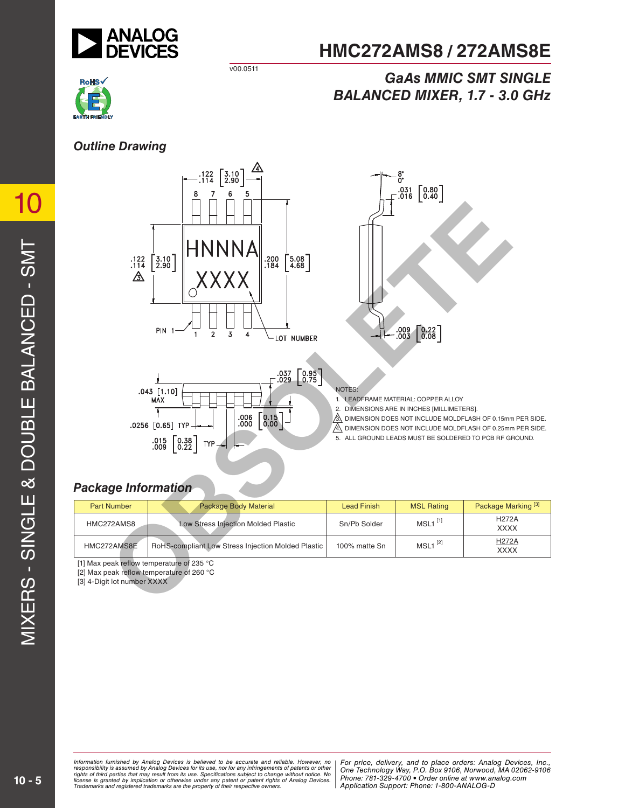

# **HMC272AMS8 / 272AMS8E**

## *GaAs MMIC SMT SINGLE BALANCED MIXER, 1.7 - 3.0 GHz*

### *Outline Drawing*







1. LEADFRAME MATERIAL: COPPER ALLOY

- 2. DIMENSIONS ARE IN INCHES [MILLIMETERS].
- $\beta$  DIMENSION DOES NOT INCLUDE MOLDFLASH OF 0.15mm PER SIDE.
- $\mathbb{A}$  dimension does not include moldflash of 0.25mm PER SIDE.
- 5. ALL GROUND LEADS MUST BE SOLDERED TO PCB RF GROUND.

## *Package Information*

| <b>Part Number</b> | <b>Package Body Material</b>                       | <b>Lead Finish</b> | <b>MSL Rating</b>     | Package Marking <sup>[3]</sup> |
|--------------------|----------------------------------------------------|--------------------|-----------------------|--------------------------------|
| HMC272AMS8         | Low Stress Injection Molded Plastic                | Sn/Pb Solder       | $MSL1$ <sup>[1]</sup> | <b>H272A</b><br><b>XXXX</b>    |
| HMC272AMS8E        | RoHS-compliant Low Stress Injection Molded Plastic | 100% matte Sn      | $MSL1$ <sup>[2]</sup> | <b>H272A</b><br><b>XXXX</b>    |

[1] Max peak reflow temperature of 235 °C

[2] Max peak reflow temperature of 260 °C

[3] 4-Digit lot number XXXX

mation rurnished by Analog Devices is believed to be accurate and reliable. However, more **religion, Alpha Road, MA 01824**<br>onsibility is assumed by Analog Devices for its use, nor for any infringements of patents or other *pressult from its use. Specifications subject to change without notice. No*<br>ation or otherwise under any patent or patent rights of Analog Devices Phone: 781-329-4700 • Order online at ww *e* the property of their respective owners. **Application Support: Phone: 1-8** Information furnished by Analog Devices is believed to be accurate and reliable. However, no<br>responsibility is assumed by Analog Devices for its use, nor for any infringements of patents or other<br>rights of third parties th

10